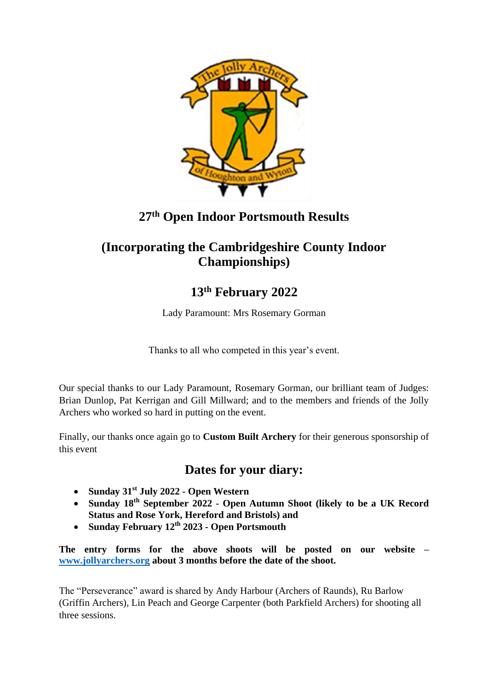

### **27 th Open Indoor Portsmouth Results**

### **(Incorporating the Cambridgeshire County Indoor Championships)**

## **13th February 2022**

Lady Paramount: Mrs Rosemary Gorman

Thanks to all who competed in this year's event.

Our special thanks to our Lady Paramount, Rosemary Gorman, our brilliant team of Judges: Brian Dunlop, Pat Kerrigan and Gill Millward; and to the members and friends of the Jolly Archers who worked so hard in putting on the event.

Finally, our thanks once again go to **Custom Built Archery** for their generous sponsorship of this event

### **Dates for your diary:**

- **Sunday 31st July 2022 - Open Western**
- **Sunday 18th September 2022 - Open Autumn Shoot (likely to be a UK Record Status and Rose York, Hereford and Bristols) and**
- **Sunday February 12 th 2023 - Open Portsmouth**

**The entry forms for the above shoots will be posted on our website – [www.jollyarchers.org](http://www.jollyarchers.org/) about 3 months before the date of the shoot.**

The "Perseverance" award is shared by Andy Harbour (Archers of Raunds), Ru Barlow (Griffin Archers), Lin Peach and George Carpenter (both Parkfield Archers) for shooting all three sessions.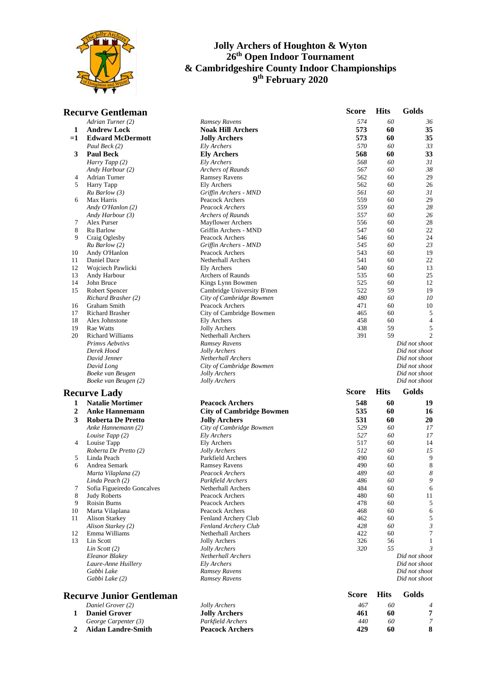

|                  | <b>Recurve Gentleman</b>                   |                                            | Score        | <b>Hits</b> | Golds               |
|------------------|--------------------------------------------|--------------------------------------------|--------------|-------------|---------------------|
|                  | Adrian Turner (2)                          | Ramsey Ravens                              | 574          | 60          | 36                  |
| 1                | <b>Andrew Lock</b>                         | <b>Noak Hill Archers</b>                   | 573          | 60          | 35                  |
| $=1$             | <b>Edward McDermott</b>                    | <b>Jolly Archers</b>                       | 573          | 60          | 35                  |
|                  | Paul Beck (2)                              | Ely Archers                                | 570          | 60          | 33                  |
| 3                | <b>Paul Beck</b>                           | <b>Ely Archers</b>                         | 568          | 60          | 33                  |
|                  | Harry Tapp (2)                             | Ely Archers                                | 568          | 60          | 31                  |
|                  | Andy Harbour (2)                           | Archers of Raunds                          | 567          | 60          | 38                  |
| 4                | Adrian Turner                              | <b>Ramsey Ravens</b>                       | 562          | 60          | 29                  |
| 5                | Harry Tapp                                 | Ely Archers                                | 562          | 60          | 26                  |
|                  | $Ru$ Barlow $(3)$                          | Griffin Archers - MND                      | 561          | 60          | 31                  |
| 6                | Max Harris                                 | Peacock Archers                            | 559<br>559   | 60<br>60    | 29<br>28            |
|                  | Andy O'Hanlon (2)                          | Peacock Archers<br>Archers of Raunds       | 557          | 60          | 26                  |
| 7                | Andy Harbour (3)<br>Alex Purser            | <b>Mayflower Archers</b>                   | 556          | 60          | 28                  |
| 8                | Ru Barlow                                  | Griffin Archers - MND                      | 547          | 60          | 22                  |
| 9                | Craig Oglesby                              | Peacock Archers                            | 546          | 60          | 24                  |
|                  | Ru Barlow (2)                              | Griffin Archers - MND                      | 545          | 60          | 23                  |
| 10               | Andy O'Hanlon                              | Peacock Archers                            | 543          | 60          | 19                  |
| 11               | Daniel Dace                                | Netherhall Archers                         | 541          | 60          | 22                  |
| 12               | Wojciech Pawlicki                          | Ely Archers                                | 540          | 60          | 13                  |
| 13               | Andy Harbour                               | Archers of Raunds                          | 535          | 60          | 25                  |
| 14               | John Bruce                                 | Kings Lynn Bowmen                          | 525          | 60          | 12                  |
| 15               | Robert Spencer                             | Cambridge University B'men                 | 522          | 59          | 19                  |
|                  | Richard Brasher (2)                        | City of Cambridge Bowmen                   | 480          | 60          | 10                  |
| 16               | Graham Smith                               | Peacock Archers                            | 471          | 60          | 10                  |
| 17               | Richard Brasher                            | City of Cambridge Bowmen                   | 465          | 60          | 5                   |
| 18               | Alex Johnstone                             | Ely Archers                                | 458          | 60          | 4                   |
| 19               | Rae Watts                                  | <b>Jolly Archers</b>                       | 438          | 59          | 5<br>$\overline{c}$ |
| 20               | <b>Richard Williams</b><br>Primvs Aebvtivs | <b>Netherhall Archers</b>                  | 391          | 59          | Did not shoot       |
|                  | Derek Hood                                 | Ramsey Ravens<br>Jolly Archers             |              |             | Did not shoot       |
|                  | David Jenner                               | Netherhall Archers                         |              |             | Did not shoot       |
|                  | David Long                                 | City of Cambridge Bowmen                   |              |             | Did not shoot       |
|                  | Boeke van Beugen                           | Jolly Archers                              |              |             | Did not shoot       |
|                  | Boeke van Beugen (2)                       | Jolly Archers                              |              |             | Did not shoot       |
|                  | <b>Recurve Lady</b>                        |                                            | <b>Score</b> | <b>Hits</b> | Golds               |
| 1                | <b>Natalie Mortimer</b>                    | <b>Peacock Archers</b>                     | 548          | 60          | 19                  |
|                  |                                            |                                            |              |             |                     |
| $\boldsymbol{2}$ | <b>Anke Hannemann</b>                      | <b>City of Cambridge Bowmen</b>            | 535          | 60          | 16                  |
| 3                | <b>Roberta De Pretto</b>                   | <b>Jolly Archers</b>                       | 531          | 60          | 20                  |
|                  | Anke Hannemann (2)                         | City of Cambridge Bowmen                   | 529<br>527   | 60<br>60    | 17                  |
| 4                | Louise Tapp (2)                            | Ely Archers<br>Ely Archers                 | 517          | 60          | 17<br>14            |
|                  | Louise Tapp<br>Roberta De Pretto (2)       | Jolly Archers                              | 512          | 60          | 15                  |
| 5                | Linda Peach                                | Parkfield Archers                          | 490          | 60          | 9                   |
| 6                | Andrea Semark                              | <b>Ramsey Ravens</b>                       | 490          | 60          | 8                   |
|                  | Marta Vilaplana (2)                        | Peacock Archers                            | 489          | 60          | 8                   |
|                  | Linda Peach (2)                            | Parkfield Archers                          | 486          | 60          | 9                   |
| 7                | Sofia Figueiredo Goncalves                 | Netherhall Archers                         | 484          | 60          | 6                   |
| 8                | <b>Judy Roberts</b>                        | Peacock Archers                            | 480          | 60          | 11                  |
| 9                | Roisin Burns                               | Peacock Archers                            | 478          | 60          | 5                   |
| 10               | Marta Vilaplana                            | Peacock Archers                            | 468          | 60          | 6                   |
| 11               | <b>Alison Starkey</b>                      | Fenland Archery Club                       | 462          | 60          | 5                   |
|                  | Alison Starkey (2)                         | Fenland Archery Club                       | 428          | 60          | 3                   |
| 12               | Emma Williams                              | Netherhall Archers                         | 422          | 60          | 7                   |
| 13               | Lin Scott                                  | <b>Jolly Archers</b>                       | 326          | 56          |                     |
|                  | Lin Scott $(2)$                            | Jolly Archers<br><b>Netherhall Archers</b> | 320          | 55          | 3<br>Did not shoot  |
|                  | Eleanor Blakey<br>Laure-Anne Huillery      | Ely Archers                                |              |             | Did not shoot       |
|                  | Gabbi Lake                                 | Ramsey Ravens                              |              |             | Did not shoot       |
|                  | Gabbi Lake (2)                             | Ramsey Ravens                              |              |             | Did not shoot       |
|                  |                                            |                                            |              |             |                     |
|                  | <b>Recurve Junior Gentleman</b>            |                                            | <b>Score</b> | <b>Hits</b> | Golds               |
|                  | Daniel Grover (2)                          | Jolly Archers                              | 467          | 60          |                     |
| 1                | <b>Daniel Grover</b>                       | <b>Jolly Archers</b>                       | 461          | 60          | 7                   |
|                  | George Carpenter (3)                       | Parkfield Archers                          | 440          | 60          | 7                   |
| 2                | <b>Aidan Landre-Smith</b>                  | <b>Peacock Archers</b>                     | 429          | 60          | 8                   |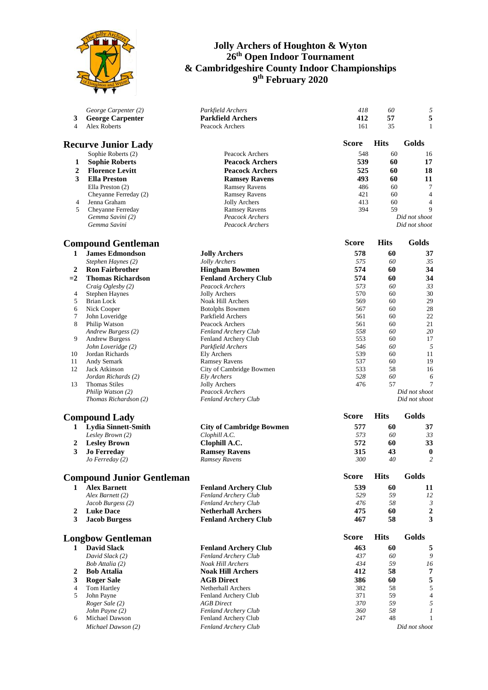

| 3<br>$\overline{4}$ | George Carpenter (2)<br><b>George Carpenter</b><br><b>Alex Roberts</b> | Parkfield Archers<br><b>Parkfield Archers</b><br>Peacock Archers | 418<br>412<br>161 | 60<br>57<br>35 | $\mathfrak{s}$<br>5<br>1 |
|---------------------|------------------------------------------------------------------------|------------------------------------------------------------------|-------------------|----------------|--------------------------|
|                     | <b>Recurve Junior Lady</b>                                             |                                                                  | <b>Score</b>      | <b>Hits</b>    | Golds                    |
|                     | Sophie Roberts (2)                                                     | Peacock Archers                                                  | 548               | 60             | 16                       |
| 1                   | <b>Sophie Roberts</b>                                                  | <b>Peacock Archers</b>                                           | 539               | 60             | 17                       |
| $\boldsymbol{2}$    | <b>Florence Levitt</b>                                                 | <b>Peacock Archers</b>                                           | 525               | 60             | 18                       |
| 3                   | <b>Ella Preston</b>                                                    | <b>Ramsey Ravens</b>                                             | 493               | 60             | 11                       |
|                     | Ella Preston (2)                                                       | <b>Ramsey Ravens</b>                                             | 486               | 60             | 7                        |
|                     | Cheyanne Ferreday (2)                                                  | <b>Ramsey Ravens</b>                                             | 421               | 60             | $\overline{4}$           |
| 4                   | Jenna Graham                                                           | Jolly Archers                                                    | 413               | 60             | $\overline{4}$           |
| 5                   | Cheyanne Ferreday                                                      | <b>Ramsey Ravens</b>                                             | 394               | 59             | 9                        |
|                     | Gemma Savini (2)                                                       | Peacock Archers                                                  |                   |                | Did not shoot            |
|                     | Gemma Savini                                                           | Peacock Archers                                                  |                   |                | Did not shoot            |
|                     | <b>Compound Gentleman</b>                                              |                                                                  | <b>Score</b>      | <b>Hits</b>    | Golds                    |
| 1                   | <b>James Edmondson</b>                                                 | <b>Jolly Archers</b>                                             | 578               | 60             | 37                       |
|                     | Stephen Haynes (2)                                                     | Jolly Archers                                                    | 575               | 60             | 35                       |
| $\boldsymbol{2}$    | <b>Ron Fairbrother</b>                                                 | <b>Hingham Bowmen</b>                                            | 574               | 60             | 34                       |
| $=2$                | <b>Thomas Richardson</b>                                               | <b>Fenland Archery Club</b>                                      | 574               | 60             | 34                       |
|                     | Craig Oglesby (2)                                                      | Peacock Archers                                                  | 573               | 60             | 33                       |
| 4                   | <b>Stephen Haynes</b>                                                  | Jolly Archers                                                    | 570               | 60             | 30                       |
| 5                   | Brian Lock                                                             | Noak Hill Archers                                                | 569               | 60             | 29                       |
| 6                   | Nick Cooper                                                            | <b>Botolphs Bowmen</b>                                           | 567               | 60             | 28                       |
| 7                   | John Loveridge                                                         | Parkfield Archers                                                | 561               | 60             | 22                       |
| 8                   | Philip Watson                                                          | Peacock Archers                                                  | 561               | 60             | 21                       |
|                     | Andrew Burgess (2)                                                     | Fenland Archery Club                                             | 558               | 60             | 20                       |
| 9                   | <b>Andrew Burgess</b>                                                  | Fenland Archery Club                                             | 553               | 60             | 17                       |
|                     | John Loveridge (2)                                                     | Parkfield Archers                                                | 546               | 60             | 5                        |
| 10                  | Jordan Richards                                                        | <b>Ely Archers</b>                                               | 539               | 60             | 11                       |
| 11<br>12            | Andy Semark<br>Jack Atkinson                                           | <b>Ramsey Ravens</b><br>City of Cambridge Bowmen                 | 537<br>533        | 60<br>58       | 19<br>16                 |
|                     | Jordan Richards (2)                                                    | Ely Archers                                                      | 528               | 60             | 6                        |
| 13                  | <b>Thomas Stiles</b>                                                   | Jolly Archers                                                    | 476               | 57             | 7                        |
|                     | Philip Watson (2)                                                      | Peacock Archers                                                  |                   |                | Did not shoot            |
|                     | Thomas Richardson (2)                                                  | <b>Fenland Archery Club</b>                                      |                   |                | Did not shoot            |
|                     | <b>Compound Lady</b>                                                   |                                                                  | <b>Score</b>      | <b>Hits</b>    | Golds                    |
|                     | 1 Lydia Sinnett-Smith                                                  | <b>City of Cambridge Bowmen</b>                                  | 577               | 60             | 37                       |
|                     | Lesley Brown (2)                                                       | Clophill A.C.                                                    | 573               | 60             | 33                       |
| 2                   | <b>Lesley Brown</b>                                                    | Clophill A.C.                                                    | 572               | 60             | 33                       |
| 3                   | <b>Jo Ferreday</b>                                                     | <b>Ramsey Ravens</b>                                             | 315               | 43             | $\boldsymbol{0}$         |
|                     | Jo Ferreday (2)                                                        | Ramsey Ravens                                                    | 300               | 40             | $\overline{c}$           |
|                     |                                                                        |                                                                  | <b>Score</b>      | <b>Hits</b>    | Golds                    |
|                     | <b>Compound Junior Gentleman</b>                                       |                                                                  |                   |                |                          |
| 1                   | <b>Alex Barnett</b>                                                    | <b>Fenland Archery Club</b>                                      | 539               | 60             | 11                       |
|                     | Alex Barnett (2)                                                       | Fenland Archery Club                                             | 529<br>476        | 59<br>58       | 12<br>$\mathfrak{Z}$     |
| 2                   | Jacob Burgess (2)<br><b>Luke Dace</b>                                  | Fenland Archery Club<br><b>Netherhall Archers</b>                | 475               | 60             | $\boldsymbol{2}$         |
| 3                   | <b>Jacob Burgess</b>                                                   | <b>Fenland Archery Club</b>                                      | 467               | 58             | 3                        |
|                     |                                                                        |                                                                  | <b>Score</b>      | <b>Hits</b>    | Golds                    |
| $\mathbf{1}$        | <b>Longbow Gentleman</b><br><b>David Slack</b>                         | <b>Fenland Archery Club</b>                                      | 463               | 60             | 5                        |
|                     | David Slack (2)                                                        | Fenland Archery Club                                             | 437               | 60             | 9                        |
|                     | <i>Bob Attalia (2)</i>                                                 | <b>Noak Hill Archers</b>                                         | 434               | 59             | 16                       |
| 2                   | <b>Bob Attalia</b>                                                     | <b>Noak Hill Archers</b>                                         | 412               | 58             | $\overline{7}$           |
| 3                   | <b>Roger Sale</b>                                                      | <b>AGB</b> Direct                                                | 386               | 60             | 5                        |
| 4                   | Tom Hartley                                                            | Netherhall Archers                                               | 382               | 58             | 5                        |
| 5                   | John Payne                                                             | Fenland Archery Club                                             | 371               | 59             | $\overline{4}$           |
|                     | Roger Sale (2)                                                         | <b>AGB</b> Direct                                                | 370               | 59             | 5                        |
|                     | John Payne (2)                                                         | Fenland Archery Club                                             | 360               | 58             | 1                        |
| 6                   | Michael Dawson                                                         | Fenland Archery Club                                             | 247               | 48             | $\mathbf{1}$             |
|                     | Michael Dawson (2)                                                     | Fenland Archery Club                                             |                   |                | Did not shoot            |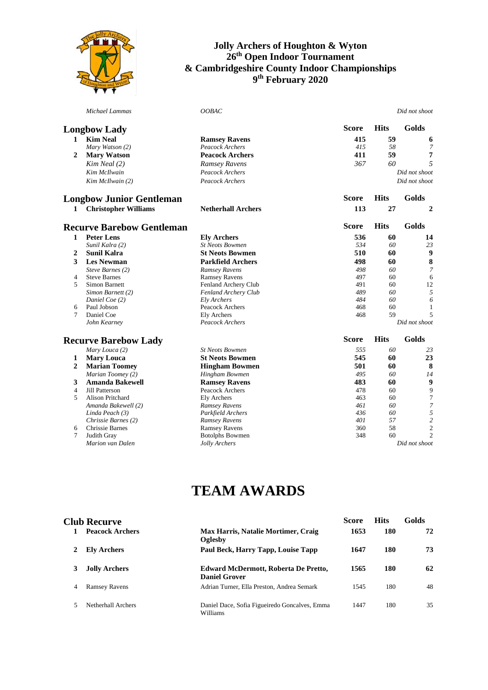

|                         | Michael Lammas                   | OOBAC                     |              |             | Did not shoot            |
|-------------------------|----------------------------------|---------------------------|--------------|-------------|--------------------------|
|                         | <b>Longbow Lady</b>              |                           | <b>Score</b> | <b>Hits</b> | Golds                    |
| 1                       | <b>Kim Neal</b>                  | <b>Ramsey Ravens</b>      | 415          | 59          | 6                        |
|                         | Mary Watson (2)                  | Peacock Archers           | 415          | 58          | $\overline{7}$           |
| $\overline{2}$          | <b>Mary Watson</b>               | <b>Peacock Archers</b>    | 411          | 59          | 7                        |
|                         | $Kim$ Neal $(2)$                 | Ramsey Ravens             | 367          | 60          | 5                        |
|                         | Kim McIlwain                     | Peacock Archers           |              |             | Did not shoot            |
|                         | Kim McIlwain (2)                 | Peacock Archers           |              |             | Did not shoot            |
|                         |                                  |                           |              |             |                          |
|                         | <b>Longbow Junior Gentleman</b>  |                           | <b>Score</b> | <b>Hits</b> | Golds                    |
| 1                       | <b>Christopher Williams</b>      | <b>Netherhall Archers</b> | 113          | 27          | $\overline{2}$           |
|                         | <b>Recurve Barebow Gentleman</b> |                           | <b>Score</b> | <b>Hits</b> | Golds                    |
| $\mathbf{1}$            | <b>Peter Lens</b>                | <b>Ely Archers</b>        | 536          | 60          | 14                       |
|                         | Sunil Kalra (2)                  | <b>St Neots Bowmen</b>    | 534          | 60          | 23                       |
| 2                       | <b>Sunil Kalra</b>               | <b>St Neots Bowmen</b>    | 510          | 60          | 9                        |
| 3                       | <b>Les Newman</b>                | <b>Parkfield Archers</b>  | 498          | 60          | 8                        |
|                         | Steve Barnes (2)                 | Ramsey Ravens             | 498          | 60          | 7                        |
| 4                       | <b>Steve Barnes</b>              | <b>Ramsey Ravens</b>      | 497          | 60          | 6                        |
| 5                       | Simon Barnett                    | Fenland Archery Club      | 491          | 60          | 12                       |
|                         | Simon Barnett (2)                | Fenland Archery Club      | 489          | 60          | 5                        |
|                         | Daniel Coe (2)                   | Ely Archers               | 484          | 60          | 6                        |
| 6                       | Paul Jobson                      | Peacock Archers           | 468          | 60          | 1                        |
| 7                       | Daniel Coe                       | <b>Ely Archers</b>        | 468          | 59          | 5                        |
|                         | John Kearney                     | Peacock Archers           |              |             | Did not shoot            |
|                         | <b>Recurve Barebow Lady</b>      |                           | <b>Score</b> | <b>Hits</b> | Golds                    |
|                         | Mary Louca (2)                   | <b>St Neots Bowmen</b>    | 555          | 60          | 23                       |
| $\mathbf{1}$            | <b>Mary Louca</b>                | <b>St Neots Bowmen</b>    | 545          | 60          | 23                       |
| $\overline{2}$          | <b>Marian Toomey</b>             | <b>Hingham Bowmen</b>     | 501          | 60          | 8                        |
|                         | Marian Toomey (2)                | Hingham Bowmen            | 495          | 60          | 14                       |
| 3                       | <b>Amanda Bakewell</b>           | <b>Ramsey Ravens</b>      | 483          | 60          | 9                        |
| $\overline{\mathbf{4}}$ | Jill Patterson                   | Peacock Archers           | 478          | 60          | 9                        |
| 5                       | Alison Pritchard                 | <b>Ely Archers</b>        | 463          | 60          | $\overline{7}$           |
|                         | Amanda Bakewell (2)              | Ramsey Ravens             | 461          | 60          | $\overline{\phantom{a}}$ |
|                         | Linda Peach (3)                  | Parkfield Archers         | 436          | 60          | 5                        |
|                         | Chrissie Barnes (2)              | Ramsey Ravens             | 401          | 57          | $\overline{c}$           |
| 6                       | Chrissie Barnes                  | <b>Ramsey Ravens</b>      | 360          | 58          | $\overline{c}$           |
| 7                       | Judith Gray                      | <b>Botolphs Bowmen</b>    | 348          | 60          | $\overline{2}$           |
|                         | Marion van Dalen                 | Jolly Archers             |              |             | Did not shoot            |

## **TEAM AWARDS**

### **Club Recurve Score Hits Golds**

| <b>Peacock Archers</b> | Max Harris, Natalie Mortimer, Craig<br>Oglesby               | 1653 | 180 | 72 |
|------------------------|--------------------------------------------------------------|------|-----|----|
| <b>Ely Archers</b>     | Paul Beck, Harry Tapp, Louise Tapp                           | 1647 | 180 | 73 |
| <b>Jolly Archers</b>   | Edward McDermott, Roberta De Pretto,<br><b>Daniel Grover</b> | 1565 | 180 | 62 |
| <b>Ramsey Ravens</b>   | Adrian Turner, Ella Preston, Andrea Semark                   | 1545 | 180 | 48 |
| Netherhall Archers     | Daniel Dace, Sofia Figueiredo Goncalves, Emma<br>Williams    | 1447 | 180 | 35 |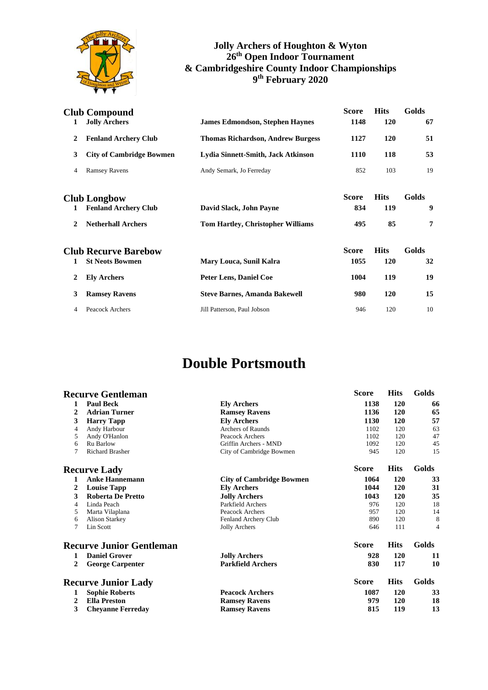

| 1            | <b>Club Compound</b><br><b>Jolly Archers</b> | <b>James Edmondson, Stephen Haynes</b>   | <b>Score</b><br>1148 | <b>Hits</b><br>120 | Golds<br>67 |
|--------------|----------------------------------------------|------------------------------------------|----------------------|--------------------|-------------|
| 2            | <b>Fenland Archery Club</b>                  | <b>Thomas Richardson, Andrew Burgess</b> | 1127                 | <b>120</b>         | 51          |
| 3            | <b>City of Cambridge Bowmen</b>              | Lydia Sinnett-Smith, Jack Atkinson       | 1110                 | 118                | 53          |
| 4            | <b>Ramsey Ravens</b>                         | Andy Semark, Jo Ferreday                 | 852                  | 103                | 19          |
|              | <b>Club Longbow</b>                          |                                          | <b>Score</b>         | <b>Hits</b>        | Golds       |
| 1            | <b>Fenland Archery Club</b>                  | David Slack, John Payne                  | 834                  | 119                | 9           |
| $\mathbf{2}$ | <b>Netherhall Archers</b>                    | <b>Tom Hartley, Christopher Williams</b> | 495                  | 85                 | 7           |
|              | <b>Club Recurve Barebow</b>                  |                                          | <b>Score</b>         | <b>Hits</b>        | Golds       |
| 1            | <b>St Neots Bowmen</b>                       | Mary Louca, Sunil Kalra                  | 1055                 | 120                | 32          |
| 2            | <b>Ely Archers</b>                           | <b>Peter Lens, Daniel Coe</b>            | 1004                 | 119                | 19          |
| 3            | <b>Ramsey Ravens</b>                         | <b>Steve Barnes, Amanda Bakewell</b>     | 980                  | 120                | 15          |
| 4            | Peacock Archers                              | Jill Patterson, Paul Jobson              | 946                  | 120                | 10          |

## **Double Portsmouth**

### **Recurve Gentleman Score Hits Golds**

| 1            | <b>Paul Beck</b>                | <b>Ely Archers</b>              | 1138         | 120         | 66    |
|--------------|---------------------------------|---------------------------------|--------------|-------------|-------|
| 2            | <b>Adrian Turner</b>            | <b>Ramsey Ravens</b>            | 1136         | 120         | 65    |
| 3            | <b>Harry Tapp</b>               | <b>Ely Archers</b>              | 1130         | 120         | 57    |
| 4            | Andy Harbour                    | <b>Archers of Raunds</b>        | 1102         | 120         | 63    |
| 5            | Andy O'Hanlon                   | Peacock Archers                 | 1102         | 120         | 47    |
| 6            | Ru Barlow                       | Griffin Archers - MND           | 1092         | 120         | 45    |
| 7            | <b>Richard Brasher</b>          | City of Cambridge Bowmen        | 945          | 120         | 15    |
|              | <b>Recurve Lady</b>             |                                 | <b>Score</b> | <b>Hits</b> | Golds |
| 1            | <b>Anke Hannemann</b>           | <b>City of Cambridge Bowmen</b> | 1064         | 120         | 33    |
| 2            | <b>Louise Tapp</b>              | <b>Ely Archers</b>              | 1044         | 120         | 31    |
| 3            | Roberta De Pretto               | <b>Jolly Archers</b>            | 1043         | 120         | 35    |
| 4            | Linda Peach                     | Parkfield Archers               | 976          | 120         | 18    |
| 5            | Marta Vilaplana                 | Peacock Archers                 | 957          | 120         | 14    |
| 6            | <b>Alison Starkey</b>           | Fenland Archery Club            | 890          | 120         | 8     |
| 7            | Lin Scott                       | Jolly Archers                   | 646          | 111         | 4     |
|              | <b>Recurve Junior Gentleman</b> |                                 | <b>Score</b> | <b>Hits</b> | Golds |
| 1            | <b>Daniel Grover</b>            | <b>Jolly Archers</b>            | 928          | 120         | 11    |
| $\mathbf{2}$ | <b>George Carpenter</b>         | <b>Parkfield Archers</b>        | 830          | 117         | 10    |
|              | <b>Recurve Junior Lady</b>      |                                 | <b>Score</b> | <b>Hits</b> | Golds |
| 1            | <b>Sophie Roberts</b>           | <b>Peacock Archers</b>          | 1087         | 120         | 33    |
| 2            | <b>Ella Preston</b>             | <b>Ramsey Ravens</b>            | 979          | 120         | 18    |
| 3            | <b>Cheyanne Ferreday</b>        | <b>Ramsey Ravens</b>            | 815          | 119         | 13    |
|              |                                 |                                 |              |             |       |